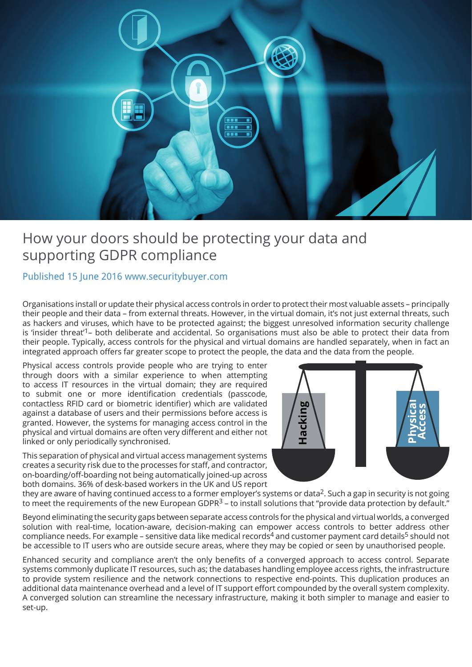

# How your doors should be protecting your data and supporting GDPR compliance

### Published 15 June 2016 www.securitybuyer.com

Organisations install or update their physical access controls in order to protect their most valuable assets – principally their people and their data – from external threats. However, in the virtual domain, it's not just external threats, such as hackers and viruses, which have to be protected against; the biggest unresolved information security challenge is 'insider threat'1– both deliberate and accidental. So organisations must also be able to protect their data from their people. Typically, access controls for the physical and virtual domains are handled separately, when in fact an integrated approach offers far greater scope to protect the people, the data and the data from the people.

Physical access controls provide people who are trying to enter through doors with a similar experience to when attempting to access IT resources in the virtual domain; they are required to submit one or more identification credentials (passcode, contactless RFID card or biometric identifier) which are validated against a database of users and their permissions before access is granted. However, the systems for managing access control in the physical and virtual domains are often very different and either not linked or only periodically synchronised.

This separation of physical and virtual access management systems creates a security risk due to the processes for staff, and contractor, on-boarding/off-boarding not being automatically joined-up across both domains. 36% of desk-based workers in the UK and US report



they are aware of having continued access to a former employer's systems or data<sup>2</sup>. Such a gap in security is not going to meet the requirements of the new European GDPR<sup>3</sup> – to install solutions that "provide data protection by default."

Beyond eliminating the security gaps between separate access controls for the physical and virtual worlds, a converged solution with real-time, location-aware, decision-making can empower access controls to better address other compliance needs. For example – sensitive data like medical records<sup>4</sup> and customer payment card details<sup>5</sup> should not be accessible to IT users who are outside secure areas, where they may be copied or seen by unauthorised people.

Enhanced security and compliance aren't the only benefits of a converged approach to access control. Separate systems commonly duplicate IT resources, such as; the databases handling employee access rights, the infrastructure to provide system resilience and the network connections to respective end-points. This duplication produces an additional data maintenance overhead and a level of IT support effort compounded by the overall system complexity. A converged solution can streamline the necessary infrastructure, making it both simpler to manage and easier to set-up.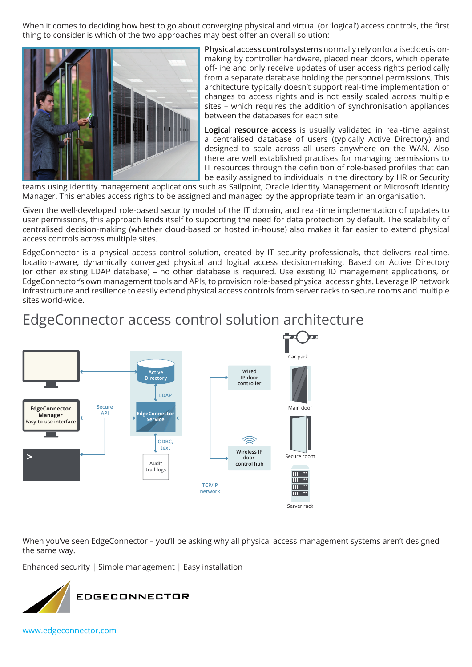When it comes to deciding how best to go about converging physical and virtual (or 'logical') access controls, the first thing to consider is which of the two approaches may best offer an overall solution:



**Physical access control systems** normally rely on localised decisionmaking by controller hardware, placed near doors, which operate off-line and only receive updates of user access rights periodically from a separate database holding the personnel permissions. This architecture typically doesn't support real-time implementation of changes to access rights and is not easily scaled across multiple sites – which requires the addition of synchronisation appliances between the databases for each site.

**Logical resource access** is usually validated in real-time against a centralised database of users (typically Active Directory) and designed to scale across all users anywhere on the WAN. Also there are well established practises for managing permissions to IT resources through the definition of role-based profiles that can be easily assigned to individuals in the directory by HR or Security

teams using identity management applications such as Sailpoint, Oracle Identity Management or Microsoft Identity Manager. This enables access rights to be assigned and managed by the appropriate team in an organisation.

Given the well-developed role-based security model of the IT domain, and real-time implementation of updates to user permissions, this approach lends itself to supporting the need for data protection by default. The scalability of centralised decision-making (whether cloud-based or hosted in-house) also makes it far easier to extend physical access controls across multiple sites.

EdgeConnector is a physical access control solution, created by IT security professionals, that delivers real-time, location-aware, dynamically converged physical and logical access decision-making. Based on Active Directory (or other existing LDAP database) – no other database is required. Use existing ID management applications, or EdgeConnector's own management tools and APIs, to provision role-based physical access rights. Leverage IP network infrastructure and resilience to easily extend physical access controls from server racks to secure rooms and multiple sites world-wide.

## EdgeConnector access control solution architecture



When you've seen EdgeConnector – you'll be asking why all physical access management systems aren't designed the same way.

Enhanced security | Simple management | Easy installation



[www.edgeconnector.com](http://www.edgeconnector.com/?utm_source=gdprarticle&utm_medium=email&utm_campaign=IFSEC2016&utm_content=home)